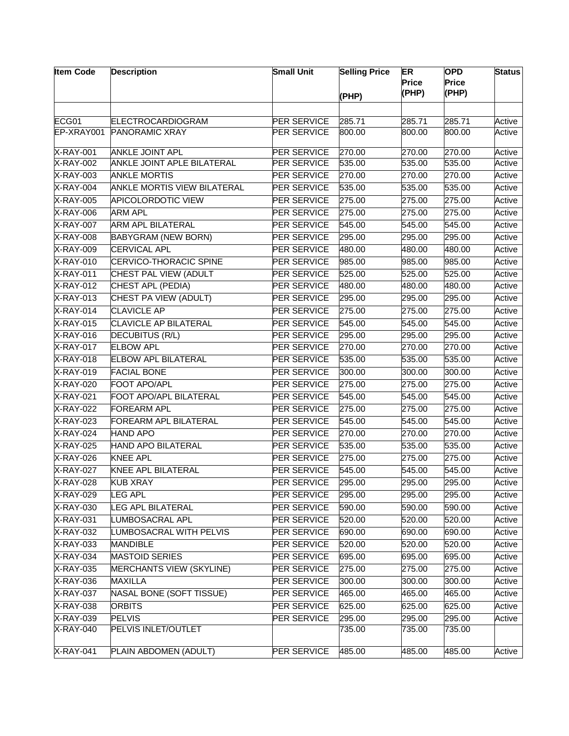| <b>Item Code</b> | <b>Description</b>                 | <b>Small Unit</b>  | <b>Selling Price</b> | ER<br><b>Price</b><br>(PHP) | <b>OPD</b><br>Price<br>(PHP) | <b>Status</b> |
|------------------|------------------------------------|--------------------|----------------------|-----------------------------|------------------------------|---------------|
|                  |                                    |                    | (PHP)                |                             |                              |               |
| ECG01            | <b>ELECTROCARDIOGRAM</b>           | <b>PER SERVICE</b> | 285.71               | 285.71                      | 285.71                       | Active        |
| EP-XRAY001       | <b>PANORAMIC XRAY</b>              | <b>PER SERVICE</b> | 800.00               | 800.00                      | 800.00                       | Active        |
| <b>X-RAY-001</b> | <b>ANKLE JOINT APL</b>             | <b>PER SERVICE</b> | 270.00               | 270.00                      | 270.00                       | Active        |
| <b>X-RAY-002</b> | <b>ANKLE JOINT APLE BILATERAL</b>  | <b>PER SERVICE</b> | 535.00               | 535.00                      | 535.00                       | Active        |
| <b>X-RAY-003</b> | <b>ANKLE MORTIS</b>                | <b>PER SERVICE</b> | 270.00               | 270.00                      | 270.00                       | Active        |
| <b>X-RAY-004</b> | <b>ANKLE MORTIS VIEW BILATERAL</b> | <b>PER SERVICE</b> | 535.00               | 535.00                      | 535.00                       | Active        |
| <b>X-RAY-005</b> | <b>APICOLORDOTIC VIEW</b>          | <b>PER SERVICE</b> | 275.00               | 275.00                      | 275.00                       | Active        |
| <b>X-RAY-006</b> | <b>ARM APL</b>                     | <b>PER SERVICE</b> | 275.00               | 275.00                      | 275.00                       | Active        |
| X-RAY-007        | <b>ARM APL BILATERAL</b>           | PER SERVICE        | 545.00               | 545.00                      | 545.00                       | Active        |
| X-RAY-008        | <b>BABYGRAM (NEW BORN)</b>         | PER SERVICE        | 295.00               | 295.00                      | 295.00                       | Active        |
| <b>X-RAY-009</b> | <b>CERVICAL APL</b>                | <b>PER SERVICE</b> | 480.00               | 480.00                      | 480.00                       | Active        |
| X-RAY-010        | CERVICO-THORACIC SPINE             | <b>PER SERVICE</b> | 985.00               | 985.00                      | 985.00                       | Active        |
| <b>X-RAY-011</b> | CHEST PAL VIEW (ADULT              | <b>PER SERVICE</b> | 525.00               | 525.00                      | 525.00                       | Active        |
| X-RAY-012        | <b>CHEST APL (PEDIA)</b>           | <b>PER SERVICE</b> | 480.00               | 480.00                      | 480.00                       | Active        |
| <b>X-RAY-013</b> | CHEST PA VIEW (ADULT)              | PER SERVICE        | 295.00               | 295.00                      | 295.00                       | Active        |
| <b>X-RAY-014</b> | <b>CLAVICLE AP</b>                 | <b>PER SERVICE</b> | 275.00               | 275.00                      | 275.00                       | Active        |
| X-RAY-015        | <b>CLAVICLE AP BILATERAL</b>       | PER SERVICE        | 545.00               | 545.00                      | 545.00                       | Active        |
| X-RAY-016        | <b>DECUBITUS (R/L)</b>             | PER SERVICE        | 295.00               | 295.00                      | 295.00                       | Active        |
| X-RAY-017        | <b>ELBOW APL</b>                   | <b>PER SERVICE</b> | 270.00               | 270.00                      | 270.00                       | Active        |
| <b>X-RAY-018</b> | <b>ELBOW APL BILATERAL</b>         | <b>PER SERVICE</b> | 535.00               | 535.00                      | 535.00                       | Active        |
| <b>X-RAY-019</b> | <b>FACIAL BONE</b>                 | <b>PER SERVICE</b> | 300.00               | 300.00                      | 300.00                       | Active        |
| <b>X-RAY-020</b> | FOOT APO/APL                       | <b>PER SERVICE</b> | 275.00               | 275.00                      | 275.00                       | Active        |
| X-RAY-021        | <b>FOOT APO/APL BILATERAL</b>      | PER SERVICE        | 545.00               | 545.00                      | 545.00                       | Active        |
| X-RAY-022        | <b>FOREARM APL</b>                 | PER SERVICE        | 275.00               | 275.00                      | 275.00                       | Active        |
| <b>X-RAY-023</b> | <b>FOREARM APL BILATERAL</b>       | <b>PER SERVICE</b> | 545.00               | 545.00                      | 545.00                       | Active        |
| X-RAY-024        | <b>HAND APO</b>                    | <b>PER SERVICE</b> | 270.00               | 270.00                      | 270.00                       | Active        |
| <b>X-RAY-025</b> | <b>HAND APO BILATERAL</b>          | <b>PER SERVICE</b> | 535.00               | 535.00                      | 535.00                       | Active        |
| <b>X-RAY-026</b> | <b>KNEE APL</b>                    | <b>PER SERVICE</b> | 275.00               | 275.00                      | 275.00                       | Active        |
| <b>X-RAY-027</b> | <b>KNEE APL BILATERAL</b>          | <b>PER SERVICE</b> | 545.00               | 545.00                      | 545.00                       | Active        |
| <b>X-RAY-028</b> | <b>KUB XRAY</b>                    | <b>PER SERVICE</b> | 295.00               | 295.00                      | 295.00                       | Active        |
| X-RAY-029        | LEG APL                            | <b>PER SERVICE</b> | 295.00               | 295.00                      | 295.00                       | Active        |
| X-RAY-030        | LEG APL BILATERAL                  | <b>PER SERVICE</b> | 590.00               | 590.00                      | 590.00                       | Active        |
| X-RAY-031        | LUMBOSACRAL APL                    | <b>PER SERVICE</b> | 520.00               | 520.00                      | 520.00                       | Active        |
| X-RAY-032        | LUMBOSACRAL WITH PELVIS            | <b>PER SERVICE</b> | 690.00               | 690.00                      | 690.00                       | Active        |
| <b>X-RAY-033</b> | <b>MANDIBLE</b>                    | <b>PER SERVICE</b> | 520.00               | 520.00                      | 520.00                       | Active        |
| X-RAY-034        | <b>MASTOID SERIES</b>              | <b>PER SERVICE</b> | 695.00               | 695.00                      | 695.00                       | Active        |
| X-RAY-035        | <b>MERCHANTS VIEW (SKYLINE)</b>    | <b>PER SERVICE</b> | 275.00               | 275.00                      | 275.00                       | Active        |
| X-RAY-036        | MAXILLA                            | <b>PER SERVICE</b> | 300.00               | 300.00                      | 300.00                       | Active        |
| X-RAY-037        | NASAL BONE (SOFT TISSUE)           | PER SERVICE        | 465.00               | 465.00                      | 465.00                       | Active        |
| X-RAY-038        | <b>ORBITS</b>                      | PER SERVICE        | 625.00               | 625.00                      | 625.00                       | Active        |
| X-RAY-039        | <b>PELVIS</b>                      | <b>PER SERVICE</b> | 295.00               | 295.00                      | 295.00                       | Active        |
| X-RAY-040        | PELVIS INLET/OUTLET                |                    | 735.00               | 735.00                      | 735.00                       |               |
| <b>X-RAY-041</b> | PLAIN ABDOMEN (ADULT)              | <b>PER SERVICE</b> | 485.00               | 485.00                      | 485.00                       | Active        |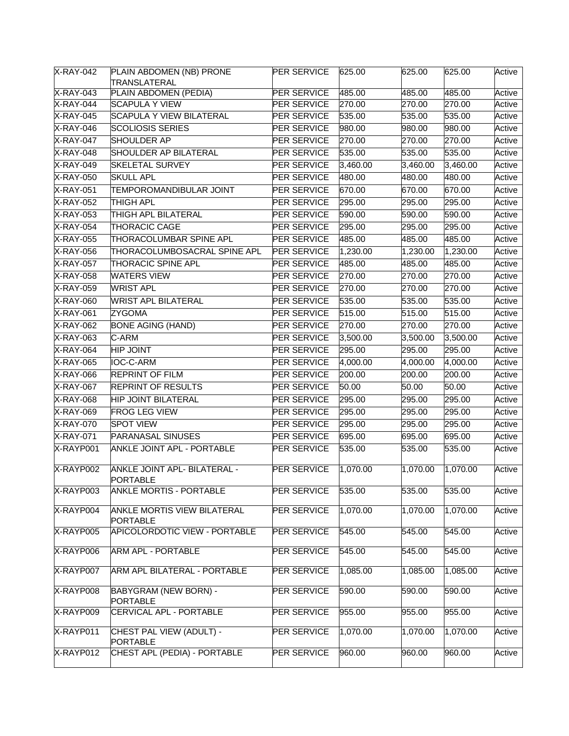| X-RAY-042        | PLAIN ABDOMEN (NB) PRONE<br>TRANSLATERAL        | <b>PER SERVICE</b> | 625.00   | 625.00   | 625.00   | Active |
|------------------|-------------------------------------------------|--------------------|----------|----------|----------|--------|
| <b>X-RAY-043</b> | PLAIN ABDOMEN (PEDIA)                           | <b>PER SERVICE</b> | 485.00   | 485.00   | 485.00   | Active |
| <b>X-RAY-044</b> | <b>SCAPULA Y VIEW</b>                           | <b>PER SERVICE</b> | 270.00   | 270.00   | 270.00   | Active |
| X-RAY-045        | <b>SCAPULA Y VIEW BILATERAL</b>                 | PER SERVICE        | 535.00   | 535.00   | 535.00   | Active |
| X-RAY-046        | <b>SCOLIOSIS SERIES</b>                         | PER SERVICE        | 980.00   | 980.00   | 980.00   | Active |
| X-RAY-047        | <b>SHOULDER AP</b>                              | PER SERVICE        | 270.00   | 270.00   | 270.00   | Active |
| X-RAY-048        | SHOULDER AP BILATERAL                           | <b>PER SERVICE</b> | 535.00   | 535.00   | 535.00   | Active |
| X-RAY-049        | <b>SKELETAL SURVEY</b>                          | PER SERVICE        | 3,460.00 | 3,460.00 | 3,460.00 | Active |
| X-RAY-050        | <b>SKULL APL</b>                                | <b>PER SERVICE</b> | 480.00   | 480.00   | 480.00   | Active |
| X-RAY-051        | TEMPOROMANDIBULAR JOINT                         | PER SERVICE        | 670.00   | 670.00   | 670.00   | Active |
| <b>X-RAY-052</b> | <b>THIGH APL</b>                                | <b>PER SERVICE</b> | 295.00   | 295.00   | 295.00   | Active |
| X-RAY-053        | THIGH APL BILATERAL                             | <b>PER SERVICE</b> | 590.00   | 590.00   | 590.00   | Active |
| <b>X-RAY-054</b> | <b>THORACIC CAGE</b>                            | <b>PER SERVICE</b> | 295.00   | 295.00   | 295.00   | Active |
| X-RAY-055        | THORACOLUMBAR SPINE APL                         | PER SERVICE        | 485.00   | 485.00   | 485.00   | Active |
| $X-RAY-056$      | THORACOLUMBOSACRAL SPINE APL                    | <b>PER SERVICE</b> | 1,230.00 | 1,230.00 | 1,230.00 | Active |
| X-RAY-057        | <b>THORACIC SPINE APL</b>                       | PER SERVICE        | 485.00   | 485.00   | 485.00   | Active |
| <b>X-RAY-058</b> | <b>WATERS VIEW</b>                              | <b>PER SERVICE</b> | 270.00   | 270.00   | 270.00   | Active |
| <b>X-RAY-059</b> | <b>WRIST APL</b>                                | <b>PER SERVICE</b> | 270.00   | 270.00   | 270.00   | Active |
| <b>X-RAY-060</b> | <b>WRIST APL BILATERAL</b>                      | <b>PER SERVICE</b> | 535.00   | 535.00   | 535.00   | Active |
| <b>X-RAY-061</b> | ZYGOMA                                          | <b>PER SERVICE</b> | 515.00   | 515.00   | 515.00   | Active |
| <b>X-RAY-062</b> | <b>BONE AGING (HAND)</b>                        | <b>PER SERVICE</b> | 270.00   | 270.00   | 270.00   | Active |
| X-RAY-063        | C-ARM                                           | PER SERVICE        | 3,500.00 | 3,500.00 | 3,500.00 | Active |
| <b>X-RAY-064</b> | <b>HIP JOINT</b>                                | <b>PER SERVICE</b> | 295.00   | 295.00   | 295.00   | Active |
| X-RAY-065        | IOC-C-ARM                                       | <b>PER SERVICE</b> | 4,000.00 | 4,000.00 | 4,000.00 | Active |
| X-RAY-066        | <b>REPRINT OF FILM</b>                          | PER SERVICE        | 200.00   | 200.00   | 200.00   | Active |
| X-RAY-067        | <b>REPRINT OF RESULTS</b>                       | <b>PER SERVICE</b> | 50.00    | 50.00    | 50.00    | Active |
| X-RAY-068        | <b>HIP JOINT BILATERAL</b>                      | <b>PER SERVICE</b> | 295.00   | 295.00   | 295.00   | Active |
| <b>X-RAY-069</b> | <b>FROG LEG VIEW</b>                            | <b>PER SERVICE</b> | 295.00   | 295.00   | 295.00   | Active |
| <b>X-RAY-070</b> | <b>SPOT VIEW</b>                                | <b>PER SERVICE</b> | 295.00   | 295.00   | 295.00   | Active |
| X-RAY-071        | PARANASAL SINUSES                               | <b>PER SERVICE</b> | 695.00   | 695.00   | 695.00   | Active |
| X-RAYP001        | <b>ANKLE JOINT APL - PORTABLE</b>               | <b>PER SERVICE</b> | 535.00   | 535.00   | 535.00   | Active |
| X-RAYP002        | ANKLE JOINT APL- BILATERAL -<br><b>PORTABLE</b> | <b>PER SERVICE</b> | 1,070.00 | 1,070.00 | 1,070.00 | Active |
| X-RAYP003        | <b>ANKLE MORTIS - PORTABLE</b>                  | <b>PER SERVICE</b> | 535.00   | 535.00   | 535.00   | Active |
| X-RAYP004        | ANKLE MORTIS VIEW BILATERAL<br><b>PORTABLE</b>  | PER SERVICE        | 1,070.00 | 1,070.00 | 1,070.00 | Active |
| X-RAYP005        | <b>APICOLORDOTIC VIEW - PORTABLE</b>            | <b>PER SERVICE</b> | 545.00   | 545.00   | 545.00   | Active |
| X-RAYP006        | <b>ARM APL - PORTABLE</b>                       | <b>PER SERVICE</b> | 545.00   | 545.00   | 545.00   | Active |
| X-RAYP007        | ARM APL BILATERAL - PORTABLE                    | <b>PER SERVICE</b> | 1,085.00 | 1,085.00 | 1,085.00 | Active |
| X-RAYP008        | <b>BABYGRAM (NEW BORN) -</b><br><b>PORTABLE</b> | <b>PER SERVICE</b> | 590.00   | 590.00   | 590.00   | Active |
| X-RAYP009        | CERVICAL APL - PORTABLE                         | <b>PER SERVICE</b> | 955.00   | 955.00   | 955.00   | Active |
| X-RAYP011        | CHEST PAL VIEW (ADULT) -<br><b>PORTABLE</b>     | <b>PER SERVICE</b> | 1,070.00 | 1,070.00 | 1,070.00 | Active |
| X-RAYP012        | CHEST APL (PEDIA) - PORTABLE                    | <b>PER SERVICE</b> | 960.00   | 960.00   | 960.00   | Active |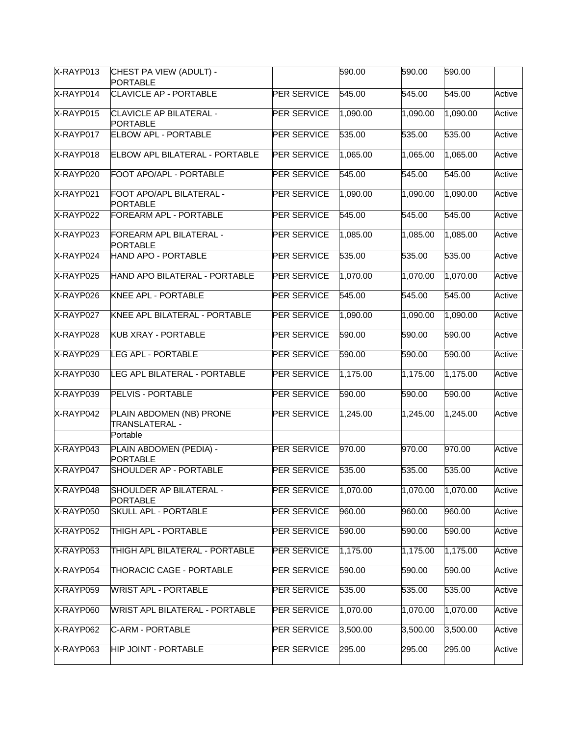| X-RAYP013 | CHEST PA VIEW (ADULT) -<br><b>PORTABLE</b>        |                    | 590.00   | 590.00   | 590.00   |        |
|-----------|---------------------------------------------------|--------------------|----------|----------|----------|--------|
| X-RAYP014 | <b>CLAVICLE AP - PORTABLE</b>                     | <b>PER SERVICE</b> | 545.00   | 545.00   | 545.00   | Active |
| X-RAYP015 | <b>CLAVICLE AP BILATERAL -</b><br><b>PORTABLE</b> | <b>PER SERVICE</b> | 1,090.00 | 1,090.00 | 1,090.00 | Active |
| X-RAYP017 | <b>ELBOW APL - PORTABLE</b>                       | <b>PER SERVICE</b> | 535.00   | 535.00   | 535.00   | Active |
| X-RAYP018 | <b>ELBOW APL BILATERAL - PORTABLE</b>             | <b>PER SERVICE</b> | 1,065.00 | 1,065.00 | 1,065.00 | Active |
| X-RAYP020 | FOOT APO/APL - PORTABLE                           | <b>PER SERVICE</b> | 545.00   | 545.00   | 545.00   | Active |
| X-RAYP021 | FOOT APO/APL BILATERAL -<br><b>PORTABLE</b>       | <b>PER SERVICE</b> | 1,090.00 | 1,090.00 | 1,090.00 | Active |
| X-RAYP022 | <b>FOREARM APL - PORTABLE</b>                     | <b>PER SERVICE</b> | 545.00   | 545.00   | 545.00   | Active |
| X-RAYP023 | FOREARM APL BILATERAL -<br><b>PORTABLE</b>        | <b>PER SERVICE</b> | 1,085.00 | 1,085.00 | 1,085.00 | Active |
| X-RAYP024 | <b>HAND APO - PORTABLE</b>                        | <b>PER SERVICE</b> | 535.00   | 535.00   | 535.00   | Active |
| X-RAYP025 | HAND APO BILATERAL - PORTABLE                     | <b>PER SERVICE</b> | 1,070.00 | 1,070.00 | 1,070.00 | Active |
| X-RAYP026 | KNEE APL - PORTABLE                               | <b>PER SERVICE</b> | 545.00   | 545.00   | 545.00   | Active |
| X-RAYP027 | KNEE APL BILATERAL - PORTABLE                     | <b>PER SERVICE</b> | 1,090.00 | 1,090.00 | 1,090.00 | Active |
| X-RAYP028 | <b>KUB XRAY - PORTABLE</b>                        | <b>PER SERVICE</b> | 590.00   | 590.00   | 590.00   | Active |
| X-RAYP029 | <b>LEG APL - PORTABLE</b>                         | <b>PER SERVICE</b> | 590.00   | 590.00   | 590.00   | Active |
| X-RAYP030 | LEG APL BILATERAL - PORTABLE                      | PER SERVICE        | 1,175.00 | 1,175.00 | 1,175.00 | Active |
| X-RAYP039 | <b>PELVIS - PORTABLE</b>                          | <b>PER SERVICE</b> | 590.00   | 590.00   | 590.00   | Active |
| X-RAYP042 | PLAIN ABDOMEN (NB) PRONE<br>TRANSLATERAL -        | PER SERVICE        | 1,245.00 | 1,245.00 | 1,245.00 | Active |
|           | Portable                                          |                    |          |          |          |        |
| X-RAYP043 | PLAIN ABDOMEN (PEDIA) -<br><b>PORTABLE</b>        | <b>PER SERVICE</b> | 970.00   | 970.00   | 970.00   | Active |
| X-RAYP047 | <b>SHOULDER AP - PORTABLE</b>                     | <b>PER SERVICE</b> | 535.00   | 535.00   | 535.00   | Active |
| X-RAYP048 | SHOULDER AP BILATERAL -<br><b>PORTABLE</b>        | PER SERVICE        | 1,070.00 | 1,070.00 | 1,070.00 | Active |
| X-RAYP050 | <b>SKULL APL - PORTABLE</b>                       | <b>PER SERVICE</b> | 960.00   | 960.00   | 960.00   | Active |
| X-RAYP052 | THIGH APL - PORTABLE                              | <b>PER SERVICE</b> | 590.00   | 590.00   | 590.00   | Active |
| X-RAYP053 | THIGH APL BILATERAL - PORTABLE                    | PER SERVICE        | 1,175.00 | 1,175.00 | 1,175.00 | Active |
| X-RAYP054 | THORACIC CAGE - PORTABLE                          | <b>PER SERVICE</b> | 590.00   | 590.00   | 590.00   | Active |
| X-RAYP059 | <b>WRIST APL - PORTABLE</b>                       | <b>PER SERVICE</b> | 535.00   | 535.00   | 535.00   | Active |
| X-RAYP060 | <b>WRIST APL BILATERAL - PORTABLE</b>             | <b>PER SERVICE</b> | 1,070.00 | 1,070.00 | 1,070.00 | Active |
| X-RAYP062 | C-ARM - PORTABLE                                  | <b>PER SERVICE</b> | 3,500.00 | 3,500.00 | 3,500.00 | Active |
| X-RAYP063 | <b>HIP JOINT - PORTABLE</b>                       | PER SERVICE        | 295.00   | 295.00   | 295.00   | Active |